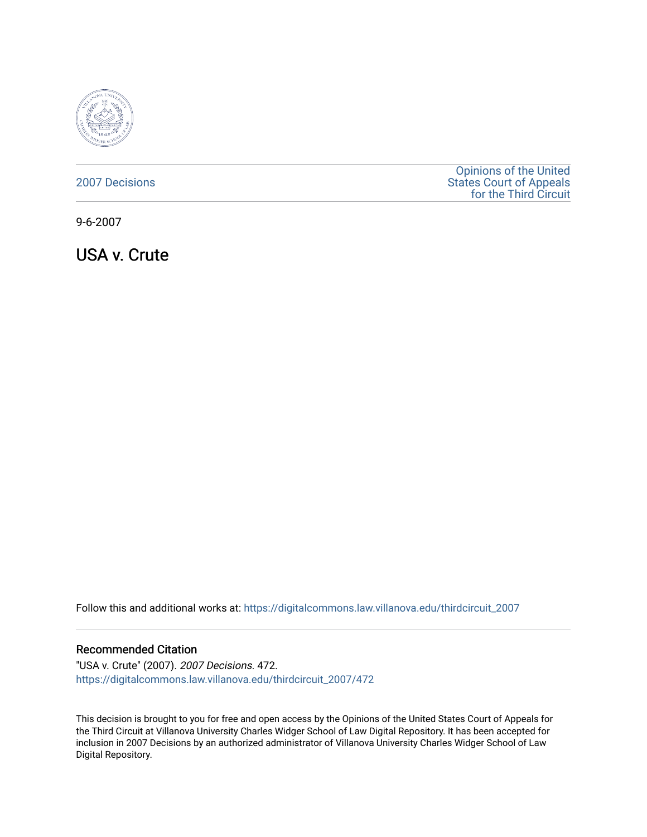

| <b>2007 Decisions</b> |
|-----------------------|
|                       |
|                       |

[Opinions of the United](https://digitalcommons.law.villanova.edu/thirdcircuit)  [States Court of Appeals](https://digitalcommons.law.villanova.edu/thirdcircuit)  [for the Third Circuit](https://digitalcommons.law.villanova.edu/thirdcircuit) 

9-6-2007

USA v. Crute

Follow this and additional works at: [https://digitalcommons.law.villanova.edu/thirdcircuit\\_2007](https://digitalcommons.law.villanova.edu/thirdcircuit_2007?utm_source=digitalcommons.law.villanova.edu%2Fthirdcircuit_2007%2F472&utm_medium=PDF&utm_campaign=PDFCoverPages) 

#### Recommended Citation

"USA v. Crute" (2007). 2007 Decisions. 472. [https://digitalcommons.law.villanova.edu/thirdcircuit\\_2007/472](https://digitalcommons.law.villanova.edu/thirdcircuit_2007/472?utm_source=digitalcommons.law.villanova.edu%2Fthirdcircuit_2007%2F472&utm_medium=PDF&utm_campaign=PDFCoverPages)

This decision is brought to you for free and open access by the Opinions of the United States Court of Appeals for the Third Circuit at Villanova University Charles Widger School of Law Digital Repository. It has been accepted for inclusion in 2007 Decisions by an authorized administrator of Villanova University Charles Widger School of Law Digital Repository.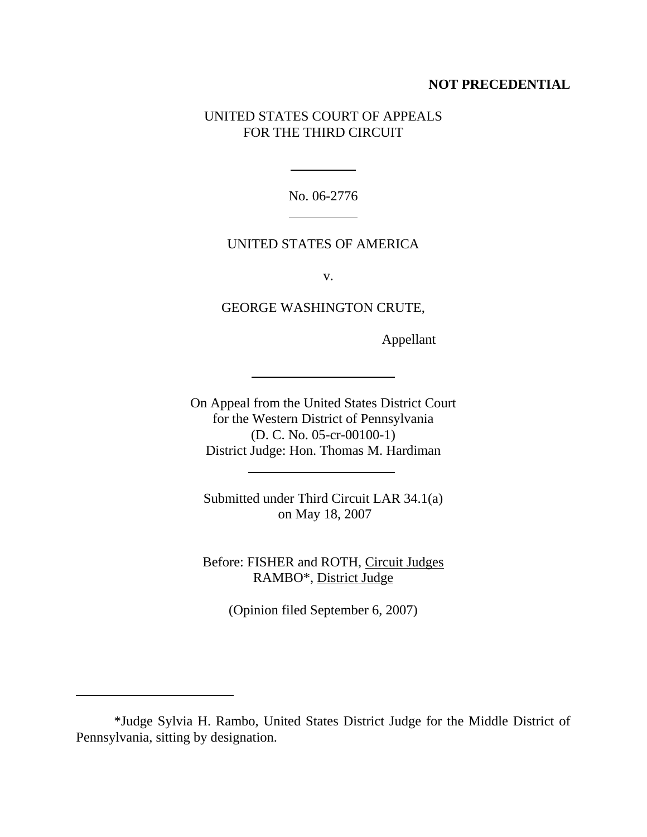# **NOT PRECEDENTIAL**

# UNITED STATES COURT OF APPEALS FOR THE THIRD CIRCUIT

No. 06-2776

 $\overline{a}$ 

 $\overline{a}$ 

 $\ddot{\phantom{a}}$ 

 $\overline{a}$ 

l

## UNITED STATES OF AMERICA

v.

GEORGE WASHINGTON CRUTE,

Appellant

On Appeal from the United States District Court for the Western District of Pennsylvania (D. C. No. 05-cr-00100-1) District Judge: Hon. Thomas M. Hardiman

Submitted under Third Circuit LAR 34.1(a) on May 18, 2007

Before: FISHER and ROTH, Circuit Judges RAMBO\*, District Judge

(Opinion filed September 6, 2007)

<sup>\*</sup>Judge Sylvia H. Rambo, United States District Judge for the Middle District of Pennsylvania, sitting by designation.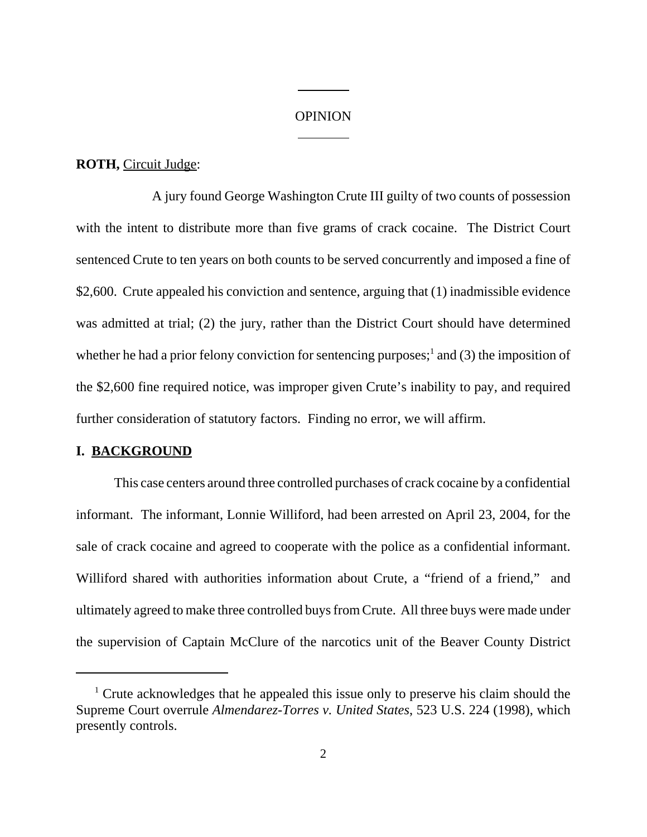### **OPINION**

 $\overline{\phantom{a}}$ 

l

#### **ROTH,** Circuit Judge:

A jury found George Washington Crute III guilty of two counts of possession with the intent to distribute more than five grams of crack cocaine. The District Court sentenced Crute to ten years on both counts to be served concurrently and imposed a fine of \$2,600. Crute appealed his conviction and sentence, arguing that (1) inadmissible evidence was admitted at trial; (2) the jury, rather than the District Court should have determined whether he had a prior felony conviction for sentencing purposes;<sup>1</sup> and (3) the imposition of the \$2,600 fine required notice, was improper given Crute's inability to pay, and required further consideration of statutory factors. Finding no error, we will affirm.

#### **I. BACKGROUND**

This case centers around three controlled purchases of crack cocaine by a confidential informant. The informant, Lonnie Williford, had been arrested on April 23, 2004, for the sale of crack cocaine and agreed to cooperate with the police as a confidential informant. Williford shared with authorities information about Crute, a "friend of a friend," and ultimately agreed to make three controlled buys from Crute. All three buys were made under the supervision of Captain McClure of the narcotics unit of the Beaver County District

<sup>&</sup>lt;sup>1</sup> Crute acknowledges that he appealed this issue only to preserve his claim should the Supreme Court overrule *Almendarez-Torres v. United States*, 523 U.S. 224 (1998), which presently controls.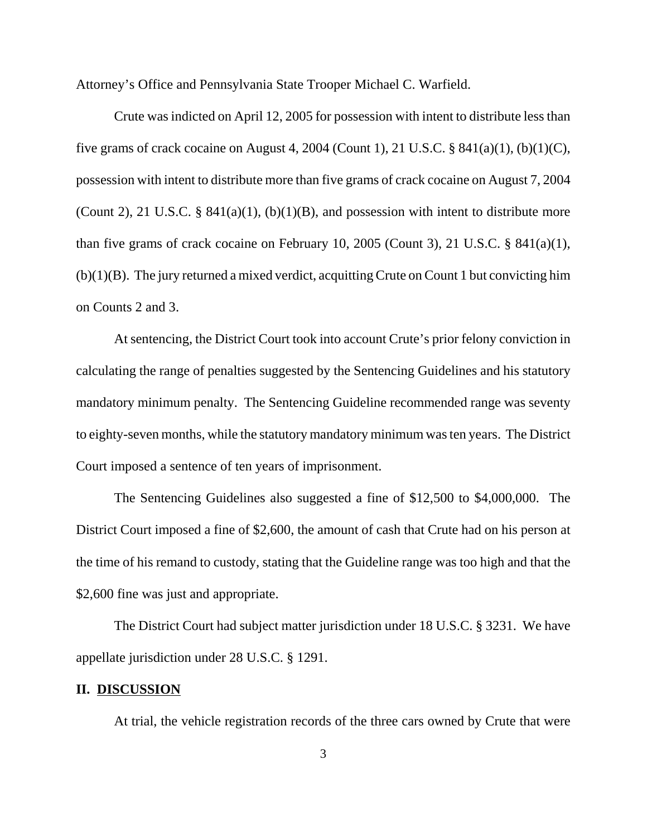Attorney's Office and Pennsylvania State Trooper Michael C. Warfield.

Crute was indicted on April 12, 2005 for possession with intent to distribute less than five grams of crack cocaine on August 4, 2004 (Count 1), 21 U.S.C. § 841(a)(1), (b)(1)(C), possession with intent to distribute more than five grams of crack cocaine on August 7, 2004 (Count 2), 21 U.S.C. §  $841(a)(1)$ , (b)(1)(B), and possession with intent to distribute more than five grams of crack cocaine on February 10, 2005 (Count 3), 21 U.S.C. § 841(a)(1), (b)(1)(B). The jury returned a mixed verdict, acquitting Crute on Count 1 but convicting him on Counts 2 and 3.

At sentencing, the District Court took into account Crute's prior felony conviction in calculating the range of penalties suggested by the Sentencing Guidelines and his statutory mandatory minimum penalty. The Sentencing Guideline recommended range was seventy to eighty-seven months, while the statutory mandatory minimum was ten years. The District Court imposed a sentence of ten years of imprisonment.

The Sentencing Guidelines also suggested a fine of \$12,500 to \$4,000,000. The District Court imposed a fine of \$2,600, the amount of cash that Crute had on his person at the time of his remand to custody, stating that the Guideline range was too high and that the \$2,600 fine was just and appropriate.

The District Court had subject matter jurisdiction under 18 U.S.C. § 3231. We have appellate jurisdiction under 28 U.S.C. § 1291.

#### **II. DISCUSSION**

At trial, the vehicle registration records of the three cars owned by Crute that were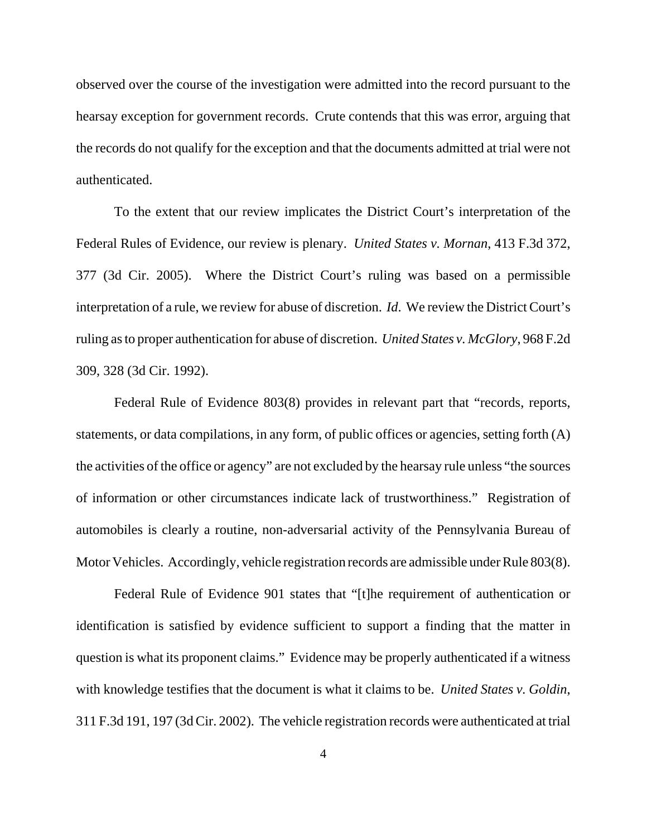observed over the course of the investigation were admitted into the record pursuant to the hearsay exception for government records. Crute contends that this was error, arguing that the records do not qualify for the exception and that the documents admitted at trial were not authenticated.

To the extent that our review implicates the District Court's interpretation of the Federal Rules of Evidence, our review is plenary. *United States v. Mornan*, 413 F.3d 372, 377 (3d Cir. 2005). Where the District Court's ruling was based on a permissible interpretation of a rule, we review for abuse of discretion. *Id*. We review the District Court's ruling as to proper authentication for abuse of discretion. *United States v. McGlory*, 968 F.2d 309, 328 (3d Cir. 1992).

Federal Rule of Evidence 803(8) provides in relevant part that "records, reports, statements, or data compilations, in any form, of public offices or agencies, setting forth (A) the activities of the office or agency" are not excluded by the hearsay rule unless "the sources of information or other circumstances indicate lack of trustworthiness." Registration of automobiles is clearly a routine, non-adversarial activity of the Pennsylvania Bureau of Motor Vehicles. Accordingly, vehicle registration records are admissible under Rule 803(8).

Federal Rule of Evidence 901 states that "[t]he requirement of authentication or identification is satisfied by evidence sufficient to support a finding that the matter in question is what its proponent claims." Evidence may be properly authenticated if a witness with knowledge testifies that the document is what it claims to be. *United States v. Goldin*, 311 F.3d 191, 197 (3d Cir. 2002). The vehicle registration records were authenticated at trial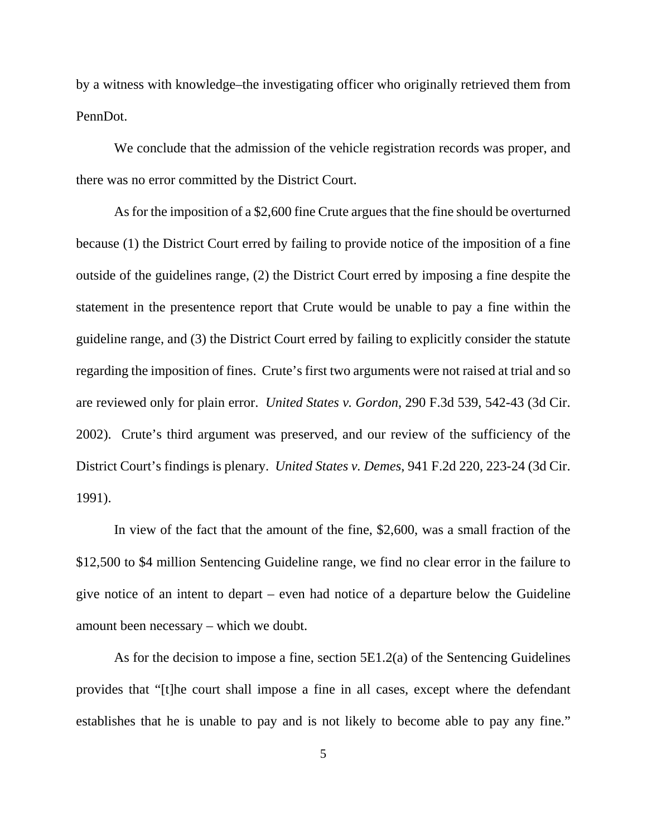by a witness with knowledge–the investigating officer who originally retrieved them from PennDot.

We conclude that the admission of the vehicle registration records was proper, and there was no error committed by the District Court.

As for the imposition of a \$2,600 fine Crute argues that the fine should be overturned because (1) the District Court erred by failing to provide notice of the imposition of a fine outside of the guidelines range, (2) the District Court erred by imposing a fine despite the statement in the presentence report that Crute would be unable to pay a fine within the guideline range, and (3) the District Court erred by failing to explicitly consider the statute regarding the imposition of fines. Crute's first two arguments were not raised at trial and so are reviewed only for plain error. *United States v. Gordon*, 290 F.3d 539, 542-43 (3d Cir. 2002). Crute's third argument was preserved, and our review of the sufficiency of the District Court's findings is plenary. *United States v. Demes*, 941 F.2d 220, 223-24 (3d Cir. 1991).

In view of the fact that the amount of the fine, \$2,600, was a small fraction of the \$12,500 to \$4 million Sentencing Guideline range, we find no clear error in the failure to give notice of an intent to depart – even had notice of a departure below the Guideline amount been necessary – which we doubt.

As for the decision to impose a fine, section 5E1.2(a) of the Sentencing Guidelines provides that "[t]he court shall impose a fine in all cases, except where the defendant establishes that he is unable to pay and is not likely to become able to pay any fine."